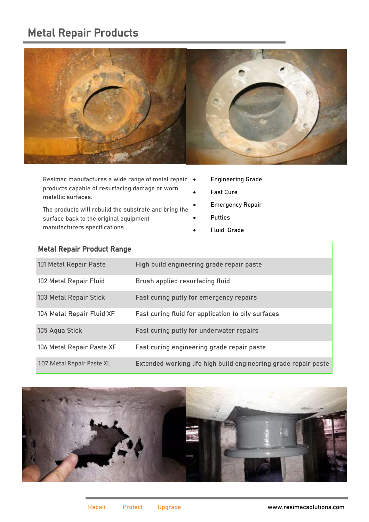## Metal Repair Products



Resimac manufactures a wide range of metal repair  $\bullet$ products capable of resurfacing damage or worn metallic surfaces.

The products will rebuild the substrate and bring the surface back to the original equipment manufacturers specifications

- Engineering Grade
- Fast Cure
- Emergency Repair
- **Putties**
- Fluid Grade

| <b>Metal Repair Product Range</b> |                                                                 |
|-----------------------------------|-----------------------------------------------------------------|
| 101 Metal Repair Paste            | High build engineering grade repair paste                       |
| 102 Metal Repair Fluid            | Brush applied resurfacing fluid                                 |
| 103 Metal Repair Stick            | Fast curing putty for emergency repairs                         |
| 104 Metal Repair Fluid XF         | Fast curing fluid for application to oily surfaces              |
| 105 Aqua Stick                    | Fast curing putty for underwater repairs                        |
| 106 Metal Repair Paste XF         | Fast curing engineering grade repair paste                      |
| 107 Metal Repair Paste XL         | Extended working life high build engineering grade repair paste |